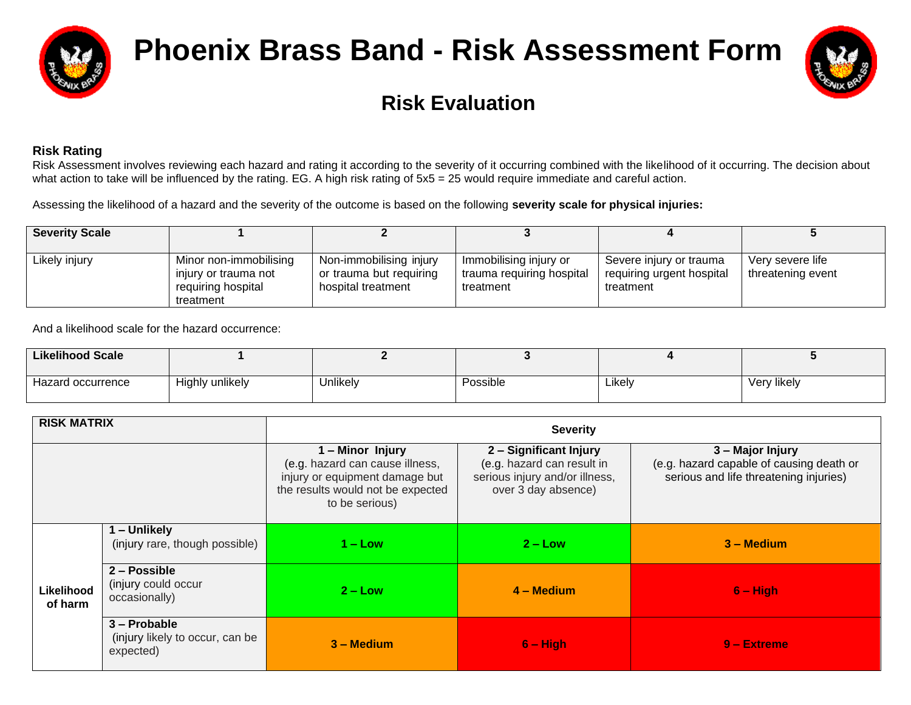

# **Phoenix Brass Band - Risk Assessment Form**



## **Risk Evaluation**

### **Risk Rating**

Risk Assessment involves reviewing each hazard and rating it according to the severity of it occurring combined with the likelihood of it occurring. The decision about what action to take will be influenced by the rating. EG. A high risk rating of  $5x5 = 25$  would require immediate and careful action.

Assessing the likelihood of a hazard and the severity of the outcome is based on the following **severity scale for physical injuries:**

| <b>Severity Scale</b> |                                                                                   |                                                                          |                                                                  |                                                                   |                                       |
|-----------------------|-----------------------------------------------------------------------------------|--------------------------------------------------------------------------|------------------------------------------------------------------|-------------------------------------------------------------------|---------------------------------------|
| Likely injury         | Minor non-immobilising<br>injury or trauma not<br>requiring hospital<br>treatment | Non-immobilising injury<br>or trauma but requiring<br>hospital treatment | Immobilising injury or<br>trauma requiring hospital<br>treatment | Severe injury or trauma<br>requiring urgent hospital<br>treatment | Very severe life<br>threatening event |

And a likelihood scale for the hazard occurrence:

| Likelihood Scale  |                 |          |          |        |             |
|-------------------|-----------------|----------|----------|--------|-------------|
| Hazard occurrence | Highly unlikely | Jnlikely | Possible | ∟ikelv | Very likely |

| <b>RISK MATRIX</b>    |                                                              | <b>Severity</b>                                                                                                                              |                                                                                                               |                                                                                                        |  |  |  |  |  |  |
|-----------------------|--------------------------------------------------------------|----------------------------------------------------------------------------------------------------------------------------------------------|---------------------------------------------------------------------------------------------------------------|--------------------------------------------------------------------------------------------------------|--|--|--|--|--|--|
|                       |                                                              | 1 - Minor Injury<br>(e.g. hazard can cause illness,<br>injury or equipment damage but<br>the results would not be expected<br>to be serious) | 2 - Significant Injury<br>(e.g. hazard can result in<br>serious injury and/or illness,<br>over 3 day absence) | 3 - Major Injury<br>(e.g. hazard capable of causing death or<br>serious and life threatening injuries) |  |  |  |  |  |  |
|                       | 1 – Unlikely<br>(injury rare, though possible)               | $1 -$ Low                                                                                                                                    | $2 - Low$                                                                                                     | $3 -$ Medium                                                                                           |  |  |  |  |  |  |
| Likelihood<br>of harm | 2 - Possible<br>(injury could occur<br>occasionally)         | $2 - Low$                                                                                                                                    | $4 - Medium$                                                                                                  | $6 - High$                                                                                             |  |  |  |  |  |  |
|                       | 3 - Probable<br>(injury likely to occur, can be<br>expected) | $3 -$ Medium                                                                                                                                 | $6 - High$                                                                                                    | $9 -$ Extreme                                                                                          |  |  |  |  |  |  |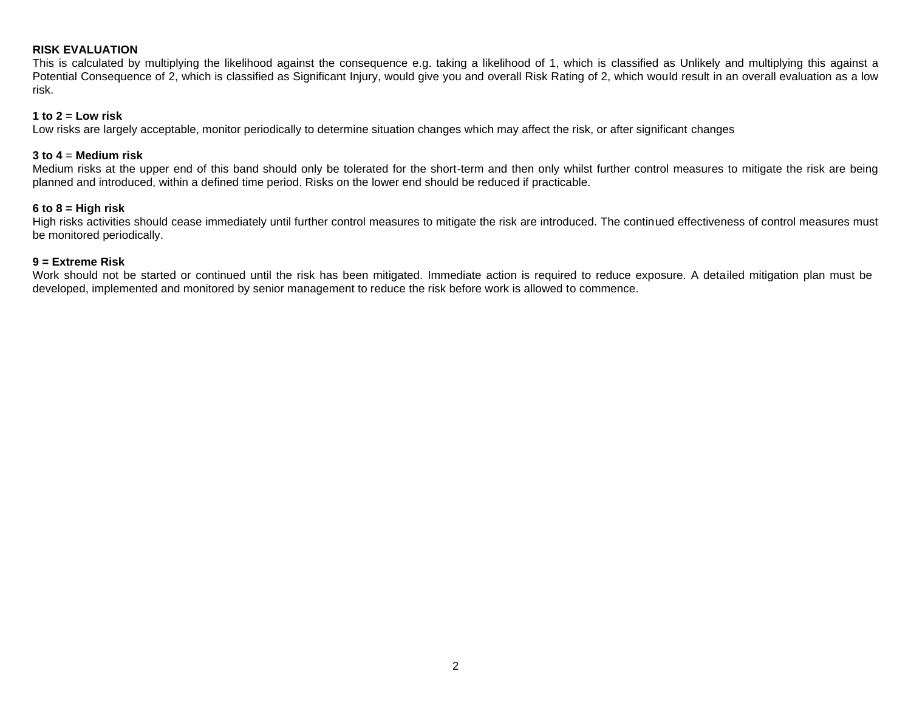#### **RISK EVALUATION**

This is calculated by multiplying the likelihood against the consequence e.g. taking a likelihood of 1, which is classified as Unlikely and multiplying this against a Potential Consequence of 2, which is classified as Significant Injury, would give you and overall Risk Rating of 2, which would result in an overall evaluation as a low risk.

#### $1$  to  $2 =$  **Low risk**

Low risks are largely acceptable, monitor periodically to determine situation changes which may affect the risk, or after significant changes

#### **3 to 4** = **Medium risk**

Medium risks at the upper end of this band should only be tolerated for the short-term and then only whilst further control measures to mitigate the risk are being planned and introduced, within a defined time period. Risks on the lower end should be reduced if practicable.

#### **6 to 8 = High risk**

High risks activities should cease immediately until further control measures to mitigate the risk are introduced. The continued effectiveness of control measures must be monitored periodically.

#### **9 = Extreme Risk**

Work should not be started or continued until the risk has been mitigated. Immediate action is required to reduce exposure. A detailed mitigation plan must be developed, implemented and monitored by senior management to reduce the risk before work is allowed to commence.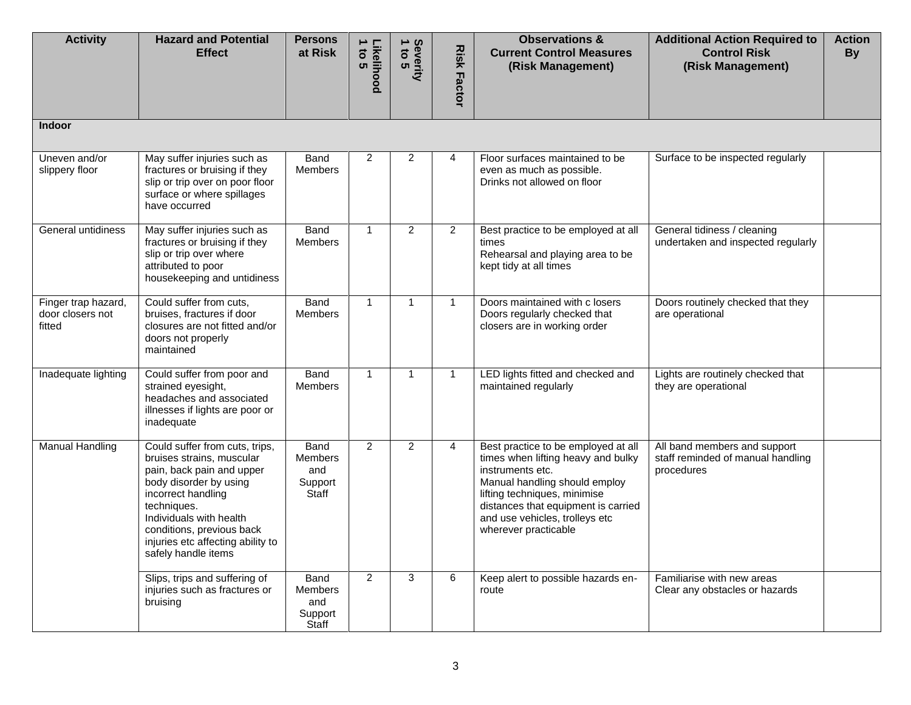| <b>Activity</b>                                   | <b>Hazard and Potential</b><br><b>Effect</b>                                                                                                                                                                                                                                | <b>Persons</b><br>at Risk                                | Likelihood<br>1 to 5 | Severity<br>1 to 5 | <b>Risk Factor</b> | <b>Observations &amp;</b><br><b>Current Control Measures</b><br>(Risk Management)                                                                                                                                                                               | <b>Additional Action Required to</b><br><b>Control Risk</b><br>(Risk Management) | <b>Action</b><br><b>By</b> |
|---------------------------------------------------|-----------------------------------------------------------------------------------------------------------------------------------------------------------------------------------------------------------------------------------------------------------------------------|----------------------------------------------------------|----------------------|--------------------|--------------------|-----------------------------------------------------------------------------------------------------------------------------------------------------------------------------------------------------------------------------------------------------------------|----------------------------------------------------------------------------------|----------------------------|
| <b>Indoor</b>                                     |                                                                                                                                                                                                                                                                             |                                                          |                      |                    |                    |                                                                                                                                                                                                                                                                 |                                                                                  |                            |
| Uneven and/or<br>slippery floor                   | May suffer injuries such as<br>fractures or bruising if they<br>slip or trip over on poor floor<br>surface or where spillages<br>have occurred                                                                                                                              | Band<br><b>Members</b>                                   | 2                    | $\overline{2}$     | 4                  | Floor surfaces maintained to be<br>even as much as possible.<br>Drinks not allowed on floor                                                                                                                                                                     | Surface to be inspected regularly                                                |                            |
| General untidiness                                | May suffer injuries such as<br>fractures or bruising if they<br>slip or trip over where<br>attributed to poor<br>housekeeping and untidiness                                                                                                                                | Band<br><b>Members</b>                                   | $\overline{1}$       | $\overline{2}$     | $\overline{2}$     | Best practice to be employed at all<br>times<br>Rehearsal and playing area to be<br>kept tidy at all times                                                                                                                                                      | General tidiness / cleaning<br>undertaken and inspected regularly                |                            |
| Finger trap hazard,<br>door closers not<br>fitted | Could suffer from cuts,<br>bruises, fractures if door<br>closures are not fitted and/or<br>doors not properly<br>maintained                                                                                                                                                 | Band<br>Members                                          | $\overline{1}$       | $\mathbf{1}$       | $\mathbf{1}$       | Doors maintained with c losers<br>Doors regularly checked that<br>closers are in working order                                                                                                                                                                  | Doors routinely checked that they<br>are operational                             |                            |
| Inadequate lighting                               | Could suffer from poor and<br>strained eyesight,<br>headaches and associated<br>illnesses if lights are poor or<br>inadequate                                                                                                                                               | Band<br>Members                                          | $\overline{1}$       | $\mathbf{1}$       | $\mathbf{1}$       | LED lights fitted and checked and<br>maintained regularly                                                                                                                                                                                                       | Lights are routinely checked that<br>they are operational                        |                            |
| <b>Manual Handling</b>                            | Could suffer from cuts, trips,<br>bruises strains, muscular<br>pain, back pain and upper<br>body disorder by using<br>incorrect handling<br>techniques.<br>Individuals with health<br>conditions, previous back<br>injuries etc affecting ability to<br>safely handle items | Band<br><b>Members</b><br>and<br>Support<br><b>Staff</b> | $\mathfrak{p}$       | $\overline{2}$     | $\overline{4}$     | Best practice to be employed at all<br>times when lifting heavy and bulky<br>instruments etc.<br>Manual handling should employ<br>lifting techniques, minimise<br>distances that equipment is carried<br>and use vehicles, trolleys etc<br>wherever practicable | All band members and support<br>staff reminded of manual handling<br>procedures  |                            |
|                                                   | Slips, trips and suffering of<br>injuries such as fractures or<br>bruising                                                                                                                                                                                                  | Band<br>Members<br>and<br>Support<br><b>Staff</b>        | 2                    | 3                  | 6                  | Keep alert to possible hazards en-<br>route                                                                                                                                                                                                                     | Familiarise with new areas<br>Clear any obstacles or hazards                     |                            |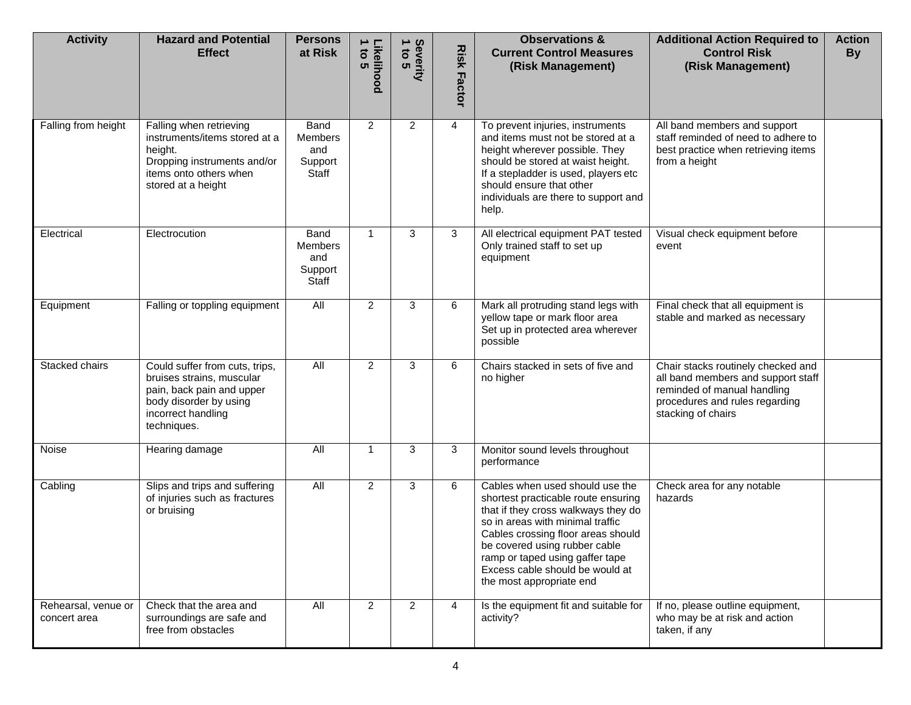| <b>Activity</b>                     | <b>Hazard and Potential</b><br><b>Effect</b>                                                                                                            | <b>Persons</b><br>at Risk                         | Likelihood<br>1 to 5 | Severity<br>1 to 5 | <b>Risk</b><br><b>Factor</b> | <b>Observations &amp;</b><br><b>Current Control Measures</b><br>(Risk Management)                                                                                                                                                                                                                                          | <b>Additional Action Required to</b><br><b>Control Risk</b><br>(Risk Management)                                                                                | <b>Action</b><br><b>By</b> |
|-------------------------------------|---------------------------------------------------------------------------------------------------------------------------------------------------------|---------------------------------------------------|----------------------|--------------------|------------------------------|----------------------------------------------------------------------------------------------------------------------------------------------------------------------------------------------------------------------------------------------------------------------------------------------------------------------------|-----------------------------------------------------------------------------------------------------------------------------------------------------------------|----------------------------|
| Falling from height                 | Falling when retrieving<br>instruments/items stored at a<br>height.<br>Dropping instruments and/or<br>items onto others when<br>stored at a height      | Band<br><b>Members</b><br>and<br>Support<br>Staff | 2                    | 2                  | 4                            | To prevent injuries, instruments<br>and items must not be stored at a<br>height wherever possible. They<br>should be stored at waist height.<br>If a stepladder is used, players etc<br>should ensure that other<br>individuals are there to support and<br>help.                                                          | All band members and support<br>staff reminded of need to adhere to<br>best practice when retrieving items<br>from a height                                     |                            |
| Electrical                          | Electrocution                                                                                                                                           | Band<br><b>Members</b><br>and<br>Support<br>Staff | $\mathbf{1}$         | 3                  | 3                            | All electrical equipment PAT tested<br>Only trained staff to set up<br>equipment                                                                                                                                                                                                                                           | Visual check equipment before<br>event                                                                                                                          |                            |
| Equipment                           | Falling or toppling equipment                                                                                                                           | All                                               | 2                    | 3                  | 6                            | Mark all protruding stand legs with<br>yellow tape or mark floor area<br>Set up in protected area wherever<br>possible                                                                                                                                                                                                     | Final check that all equipment is<br>stable and marked as necessary                                                                                             |                            |
| Stacked chairs                      | Could suffer from cuts, trips,<br>bruises strains, muscular<br>pain, back pain and upper<br>body disorder by using<br>incorrect handling<br>techniques. | All                                               | 2                    | 3                  | 6                            | Chairs stacked in sets of five and<br>no higher                                                                                                                                                                                                                                                                            | Chair stacks routinely checked and<br>all band members and support staff<br>reminded of manual handling<br>procedures and rules regarding<br>stacking of chairs |                            |
| Noise                               | Hearing damage                                                                                                                                          | $\overline{All}$                                  | $\mathbf 1$          | 3                  | 3                            | Monitor sound levels throughout<br>performance                                                                                                                                                                                                                                                                             |                                                                                                                                                                 |                            |
| Cabling                             | Slips and trips and suffering<br>of injuries such as fractures<br>or bruising                                                                           | $\overline{All}$                                  | 2                    | 3                  | 6                            | Cables when used should use the<br>shortest practicable route ensuring<br>that if they cross walkways they do<br>so in areas with minimal traffic<br>Cables crossing floor areas should<br>be covered using rubber cable<br>ramp or taped using gaffer tape<br>Excess cable should be would at<br>the most appropriate end | Check area for any notable<br>hazards                                                                                                                           |                            |
| Rehearsal, venue or<br>concert area | Check that the area and<br>surroundings are safe and<br>free from obstacles                                                                             | All                                               | $\overline{2}$       | $\overline{2}$     | 4                            | Is the equipment fit and suitable for<br>activity?                                                                                                                                                                                                                                                                         | If no, please outline equipment,<br>who may be at risk and action<br>taken, if any                                                                              |                            |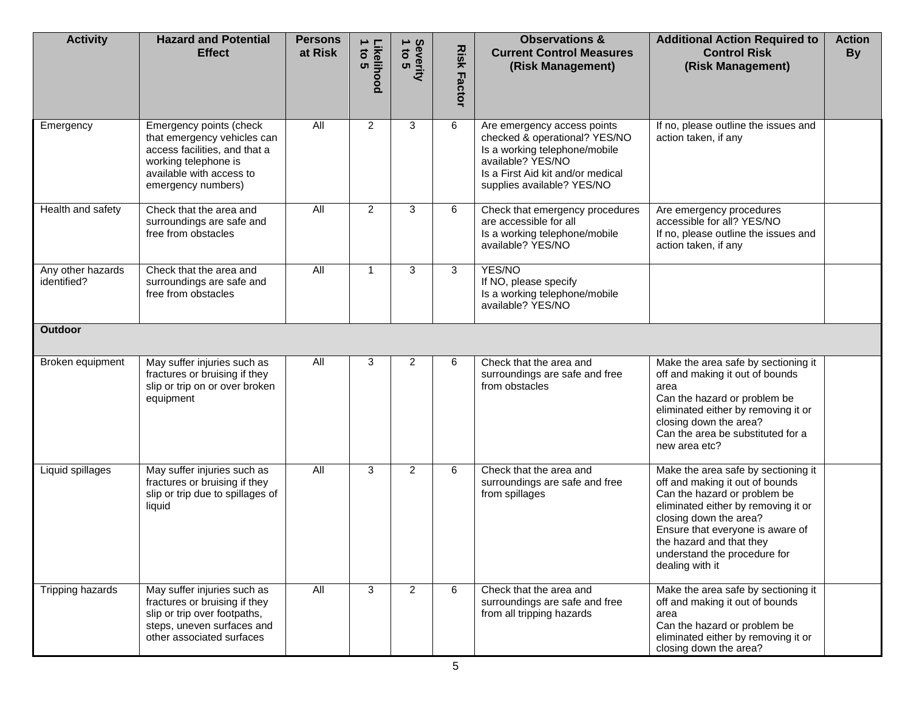| <b>Activity</b>                  | <b>Hazard and Potential</b><br><b>Effect</b>                                                                                                                      | <b>Persons</b><br>at Risk | Likelihood<br>1 to 5 | Severity<br>1 to 5 | <b>Risk</b><br>Factor | <b>Observations &amp;</b><br><b>Current Control Measures</b><br>(Risk Management)                                                                                                     | <b>Additional Action Required to</b><br><b>Control Risk</b><br>(Risk Management)                                                                                                                                                                                                           | <b>Action</b><br><b>By</b> |
|----------------------------------|-------------------------------------------------------------------------------------------------------------------------------------------------------------------|---------------------------|----------------------|--------------------|-----------------------|---------------------------------------------------------------------------------------------------------------------------------------------------------------------------------------|--------------------------------------------------------------------------------------------------------------------------------------------------------------------------------------------------------------------------------------------------------------------------------------------|----------------------------|
| Emergency                        | Emergency points (check<br>that emergency vehicles can<br>access facilities, and that a<br>working telephone is<br>available with access to<br>emergency numbers) | All                       | $\overline{2}$       | 3                  | 6                     | Are emergency access points<br>checked & operational? YES/NO<br>Is a working telephone/mobile<br>available? YES/NO<br>Is a First Aid kit and/or medical<br>supplies available? YES/NO | If no, please outline the issues and<br>action taken, if any                                                                                                                                                                                                                               |                            |
| Health and safety                | Check that the area and<br>surroundings are safe and<br>free from obstacles                                                                                       | All                       | $\overline{2}$       | 3                  | 6                     | Check that emergency procedures<br>are accessible for all<br>Is a working telephone/mobile<br>available? YES/NO                                                                       | Are emergency procedures<br>accessible for all? YES/NO<br>If no, please outline the issues and<br>action taken, if any                                                                                                                                                                     |                            |
| Any other hazards<br>identified? | Check that the area and<br>surroundings are safe and<br>free from obstacles                                                                                       | $\overline{All}$          | $\mathbf{1}$         | 3                  | 3                     | YES/NO<br>If NO, please specify<br>Is a working telephone/mobile<br>available? YES/NO                                                                                                 |                                                                                                                                                                                                                                                                                            |                            |
| <b>Outdoor</b>                   |                                                                                                                                                                   |                           |                      |                    |                       |                                                                                                                                                                                       |                                                                                                                                                                                                                                                                                            |                            |
| Broken equipment                 | May suffer injuries such as<br>fractures or bruising if they<br>slip or trip on or over broken<br>equipment                                                       | All                       | 3                    | 2                  | 6                     | Check that the area and<br>surroundings are safe and free<br>from obstacles                                                                                                           | Make the area safe by sectioning it<br>off and making it out of bounds<br>area<br>Can the hazard or problem be<br>eliminated either by removing it or<br>closing down the area?<br>Can the area be substituted for a<br>new area etc?                                                      |                            |
| Liquid spillages                 | May suffer injuries such as<br>fractures or bruising if they<br>slip or trip due to spillages of<br>liquid                                                        | <b>All</b>                | 3                    | $\overline{2}$     | 6                     | Check that the area and<br>surroundings are safe and free<br>from spillages                                                                                                           | Make the area safe by sectioning it<br>off and making it out of bounds<br>Can the hazard or problem be<br>eliminated either by removing it or<br>closing down the area?<br>Ensure that everyone is aware of<br>the hazard and that they<br>understand the procedure for<br>dealing with it |                            |
| Tripping hazards                 | May suffer injuries such as<br>fractures or bruising if they<br>slip or trip over footpaths,<br>steps, uneven surfaces and<br>other associated surfaces           | All                       | 3                    | 2                  | 6                     | Check that the area and<br>surroundings are safe and free<br>from all tripping hazards                                                                                                | Make the area safe by sectioning it<br>off and making it out of bounds<br>area<br>Can the hazard or problem be<br>eliminated either by removing it or<br>closing down the area?                                                                                                            |                            |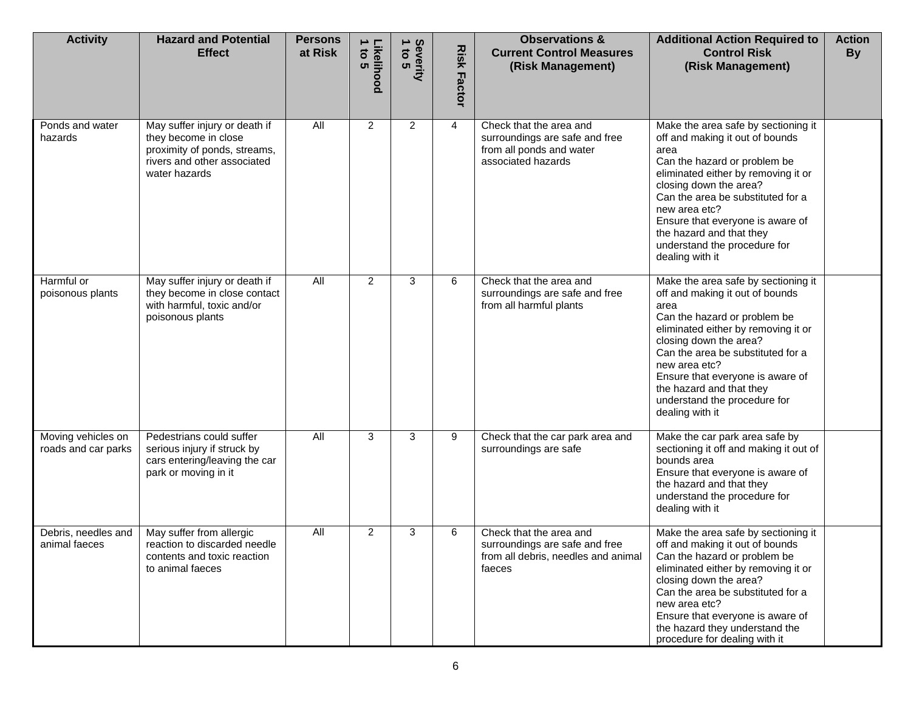| <b>Activity</b>                           | <b>Hazard and Potential</b><br><b>Effect</b>                                                                                          | <b>Persons</b><br>at Risk | Likelihood<br>1 to 5 | Severity<br>1 to 5 | <b>Risk</b><br><b>Factor</b> | <b>Observations &amp;</b><br><b>Current Control Measures</b><br>(Risk Management)                           | <b>Additional Action Required to</b><br><b>Control Risk</b><br>(Risk Management)                                                                                                                                                                                                                                                                         | <b>Action</b><br><b>By</b> |
|-------------------------------------------|---------------------------------------------------------------------------------------------------------------------------------------|---------------------------|----------------------|--------------------|------------------------------|-------------------------------------------------------------------------------------------------------------|----------------------------------------------------------------------------------------------------------------------------------------------------------------------------------------------------------------------------------------------------------------------------------------------------------------------------------------------------------|----------------------------|
| Ponds and water<br>hazards                | May suffer injury or death if<br>they become in close<br>proximity of ponds, streams,<br>rivers and other associated<br>water hazards | All                       | 2                    | $\overline{2}$     | 4                            | Check that the area and<br>surroundings are safe and free<br>from all ponds and water<br>associated hazards | Make the area safe by sectioning it<br>off and making it out of bounds<br>area<br>Can the hazard or problem be<br>eliminated either by removing it or<br>closing down the area?<br>Can the area be substituted for a<br>new area etc?<br>Ensure that everyone is aware of<br>the hazard and that they<br>understand the procedure for<br>dealing with it |                            |
| Harmful or<br>poisonous plants            | May suffer injury or death if<br>they become in close contact<br>with harmful, toxic and/or<br>poisonous plants                       | All                       | 2                    | 3                  | 6                            | Check that the area and<br>surroundings are safe and free<br>from all harmful plants                        | Make the area safe by sectioning it<br>off and making it out of bounds<br>area<br>Can the hazard or problem be<br>eliminated either by removing it or<br>closing down the area?<br>Can the area be substituted for a<br>new area etc?<br>Ensure that everyone is aware of<br>the hazard and that they<br>understand the procedure for<br>dealing with it |                            |
| Moving vehicles on<br>roads and car parks | Pedestrians could suffer<br>serious injury if struck by<br>cars entering/leaving the car<br>park or moving in it                      | <b>All</b>                | 3                    | 3                  | 9                            | Check that the car park area and<br>surroundings are safe                                                   | Make the car park area safe by<br>sectioning it off and making it out of<br>bounds area<br>Ensure that everyone is aware of<br>the hazard and that they<br>understand the procedure for<br>dealing with it                                                                                                                                               |                            |
| Debris, needles and<br>animal faeces      | May suffer from allergic<br>reaction to discarded needle<br>contents and toxic reaction<br>to animal faeces                           | $\overline{All}$          | 2                    | 3                  | 6                            | Check that the area and<br>surroundings are safe and free<br>from all debris, needles and animal<br>faeces  | Make the area safe by sectioning it<br>off and making it out of bounds<br>Can the hazard or problem be<br>eliminated either by removing it or<br>closing down the area?<br>Can the area be substituted for a<br>new area etc?<br>Ensure that everyone is aware of<br>the hazard they understand the<br>procedure for dealing with it                     |                            |